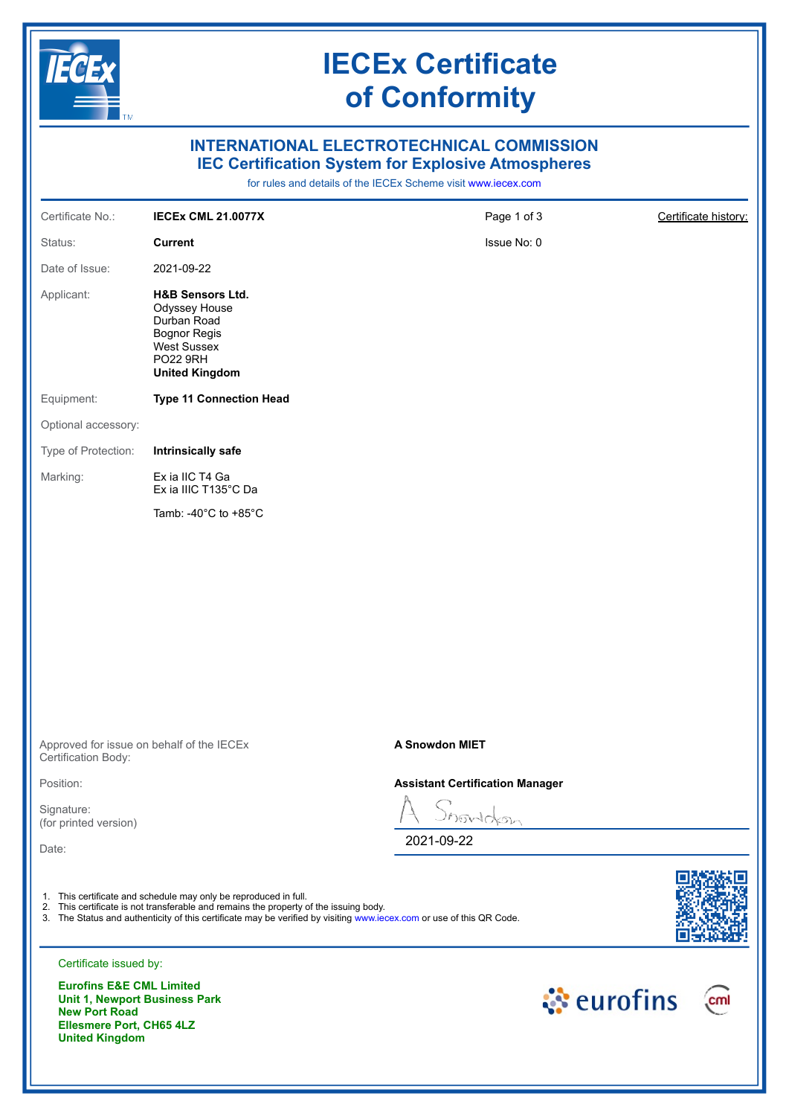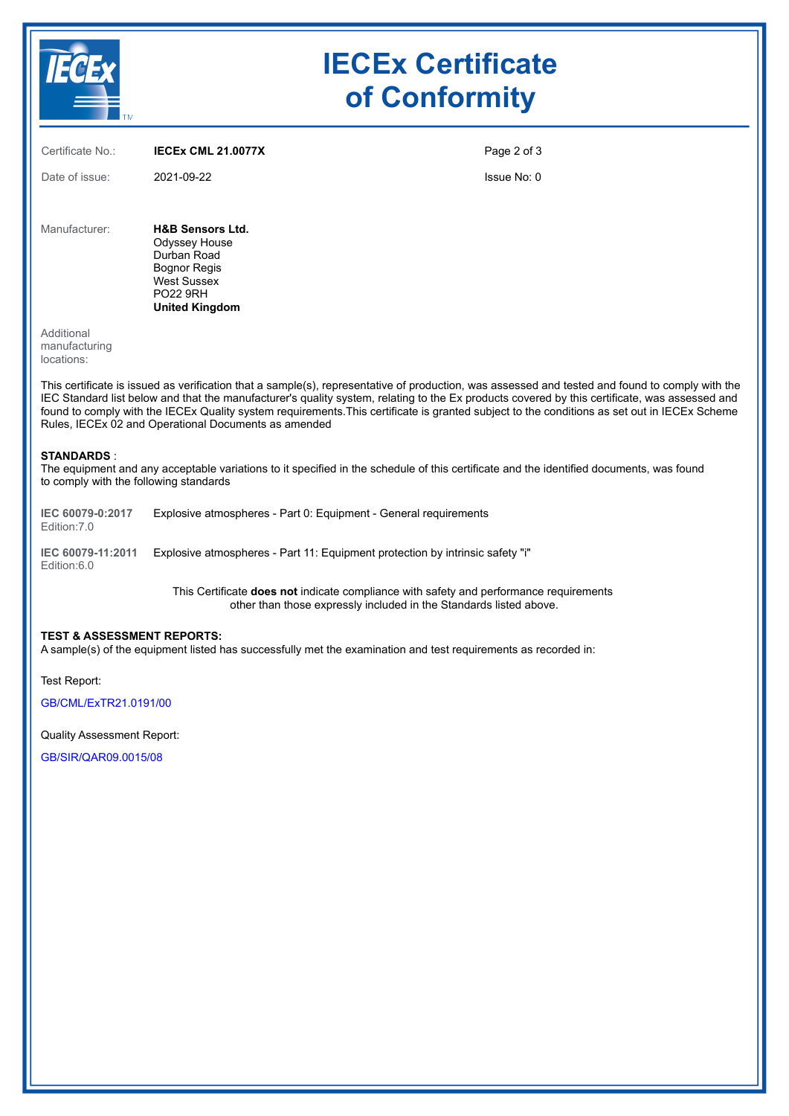|                                    |                                                                                                                                               | <b>IECEx Certificate</b><br>of Conformity |  |  |
|------------------------------------|-----------------------------------------------------------------------------------------------------------------------------------------------|-------------------------------------------|--|--|
| Certificate No.:<br>Date of issue: | <b>IECEX CML 21.0077X</b><br>2021-09-22                                                                                                       | Page 2 of 3<br>Issue No: 0                |  |  |
| Manufacturer:<br>Additional        | <b>H&amp;B Sensors Ltd.</b><br>Odyssey House<br>Durban Road<br><b>Bognor Regis</b><br>West Sussex<br><b>PO22 9RH</b><br><b>United Kingdom</b> |                                           |  |  |

manufacturing locations:

This certificate is issued as verification that a sample(s), representative of production, was assessed and tested and found to comply with the IEC Standard list below and that the manufacturer's quality system, relating to the Ex products covered by this certificate, was assessed and found to comply with the IECEx Quality system requirements.This certificate is granted subject to the conditions as set out in IECEx Scheme Rules, IECEx 02 and Operational Documents as amended

#### **STANDARDS** :

The equipment and any acceptable variations to it specified in the schedule of this certificate and the identified documents, was found to comply with the following standards

**IEC 60079-0:2017** Edition:7.0 Explosive atmospheres - Part 0: Equipment - General requirements

**IEC 60079-11:2011** Explosive atmospheres - Part 11: Equipment protection by intrinsic safety "i" Edition:6.0

> This Certificate **does not** indicate compliance with safety and performance requirements other than those expressly included in the Standards listed above.

#### **TEST & ASSESSMENT REPORTS:**

A sample(s) of the equipment listed has successfully met the examination and test requirements as recorded in:

Test Report:

[GB/CML/ExTR21.0191/00](https://www.iecex-certs.com/#/deliverables/REPORT/77035/view)

Quality Assessment Report:

[GB/SIR/QAR09.0015/08](https://www.iecex-certs.com/#/deliverables/REPORT/71817/view)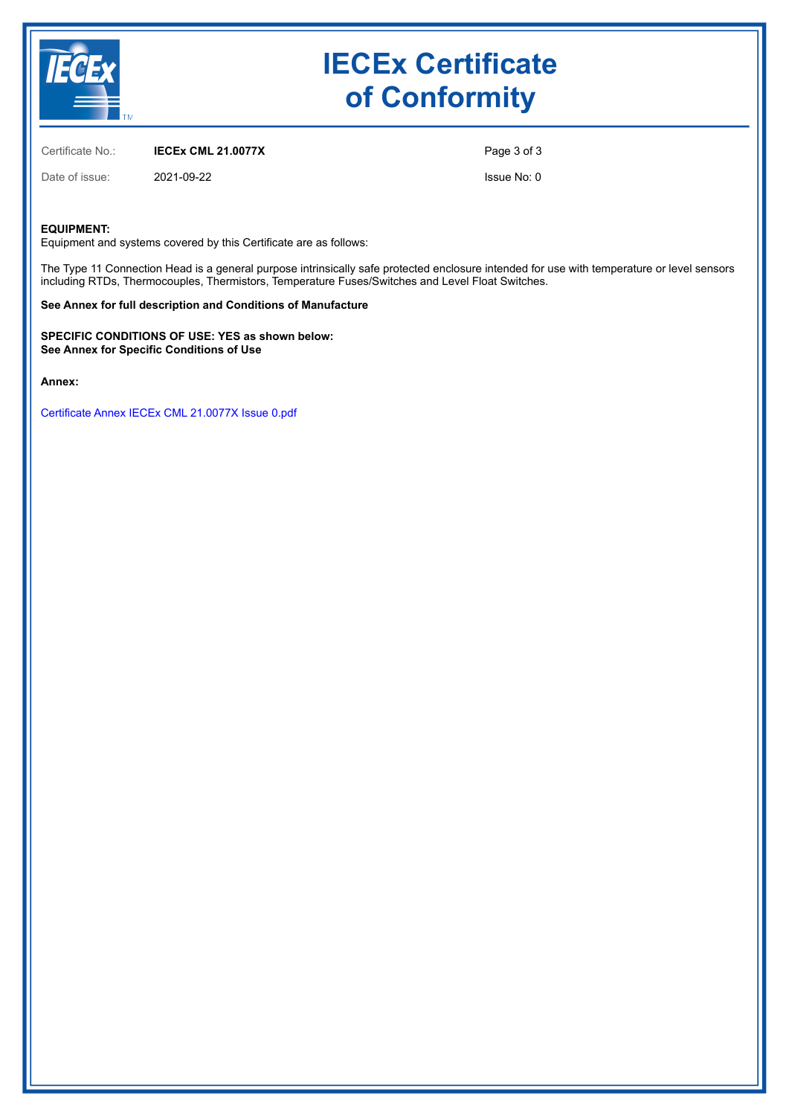

# **IECEx Certificate of Conformity**

Certificate No.: **IECEx CML 21.0077X**

Date of issue: 2021-09-22

Page 3 of 3

Issue No: 0

### **EQUIPMENT:**

Equipment and systems covered by this Certificate are as follows:

The Type 11 Connection Head is a general purpose intrinsically safe protected enclosure intended for use with temperature or level sensors including RTDs, Thermocouples, Thermistors, Temperature Fuses/Switches and Level Float Switches.

#### **See Annex for full description and Conditions of Manufacture**

**SPECIFIC CONDITIONS OF USE: YES as shown below: See Annex for Specific Conditions of Use**

**Annex:**

[Certificate Annex IECEx CML 21.0077X Issue 0.pdf](https://www.iecex-certs.com/#/deliverables/CERT/54286/view)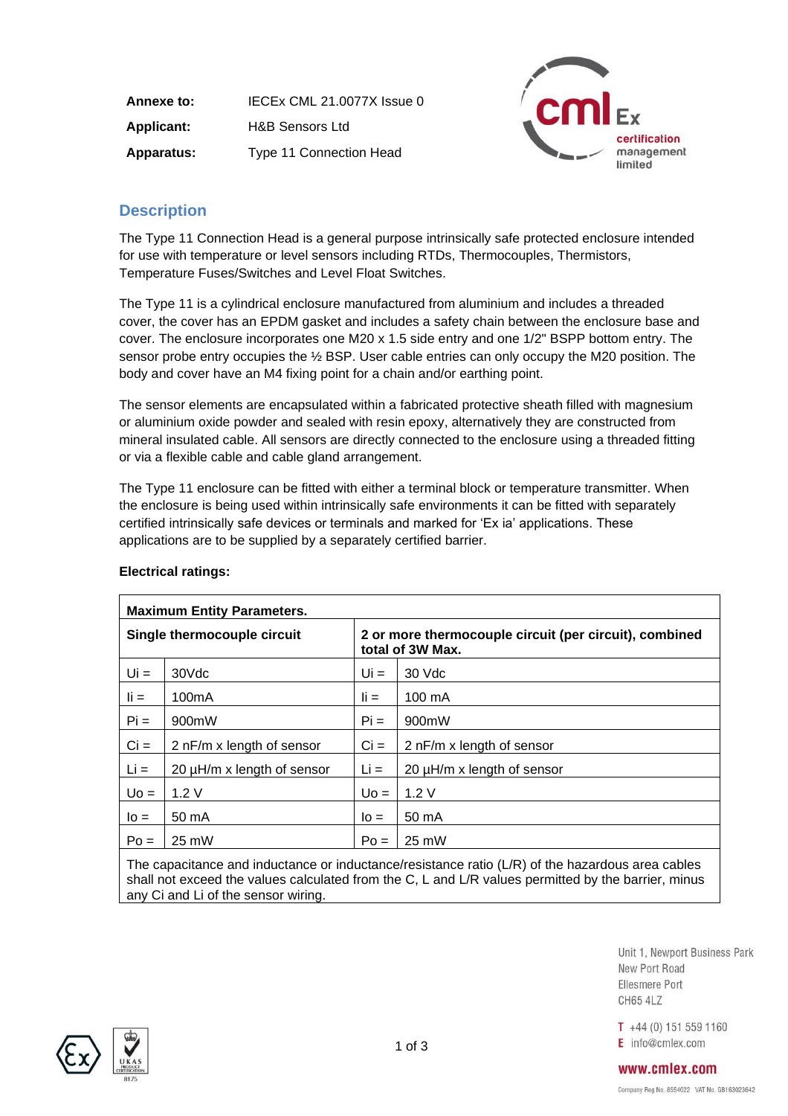**Annexe to:** IECEx CML 21.0077X Issue 0 **Applicant:** H&B Sensors Ltd **Apparatus:** Type 11 Connection Head



## **Description**

The Type 11 Connection Head is a general purpose intrinsically safe protected enclosure intended for use with temperature or level sensors including RTDs, Thermocouples, Thermistors, Temperature Fuses/Switches and Level Float Switches.

The Type 11 is a cylindrical enclosure manufactured from aluminium and includes a threaded cover, the cover has an EPDM gasket and includes a safety chain between the enclosure base and cover. The enclosure incorporates one M20 x 1.5 side entry and one 1/2" BSPP bottom entry. The sensor probe entry occupies the ½ BSP. User cable entries can only occupy the M20 position. The body and cover have an M4 fixing point for a chain and/or earthing point.

The sensor elements are encapsulated within a fabricated protective sheath filled with magnesium or aluminium oxide powder and sealed with resin epoxy, alternatively they are constructed from mineral insulated cable. All sensors are directly connected to the enclosure using a threaded fitting or via a flexible cable and cable gland arrangement.

The Type 11 enclosure can be fitted with either a terminal block or temperature transmitter. When the enclosure is being used within intrinsically safe environments it can be fitted with separately certified intrinsically safe devices or terminals and marked for 'Ex ia' applications. These applications are to be supplied by a separately certified barrier.

| <b>Maximum Entity Parameters.</b>    |                    |                                                                            |                                 |  |  |  |
|--------------------------------------|--------------------|----------------------------------------------------------------------------|---------------------------------|--|--|--|
| Single thermocouple circuit          |                    | 2 or more thermocouple circuit (per circuit), combined<br>total of 3W Max. |                                 |  |  |  |
| $Ui =$                               | 30Vdc              | $Ui =$                                                                     | 30 Vdc                          |  |  |  |
| $\mathbf{I}$ $\mathbf{I}$            | 100 <sub>m</sub> A | $\mathbf{I} =$                                                             | 100 mA                          |  |  |  |
| $Pi =$                               | 900mW              | $Pi =$                                                                     | 900mW                           |  |  |  |
| $Ci =$<br>2 nF/m x length of sensor  |                    | $Ci =$                                                                     | 2 nF/m x length of sensor       |  |  |  |
| $Li =$<br>20 µH/m x length of sensor |                    | $Li =$                                                                     | 20 $\mu$ H/m x length of sensor |  |  |  |
| $U_0 =$                              | 1.2V               |                                                                            | 1.2V                            |  |  |  |
| $I_0 =$                              | $50 \text{ mA}$    |                                                                            | 50 mA                           |  |  |  |
| $Po =$                               | 25 mW              | $Po =$                                                                     | 25 mW                           |  |  |  |
|                                      |                    |                                                                            |                                 |  |  |  |

## **Electrical ratings:**

The capacitance and inductance or inductance/resistance ratio (L/R) of the hazardous area cables shall not exceed the values calculated from the C, L and L/R values permitted by the barrier, minus any Ci and Li of the sensor wiring.

> Unit 1, Newport Business Park New Port Road Ellesmere Port **CH65 4LZ**

 $T +44(0)$  151 559 1160 E info@cmlex.com



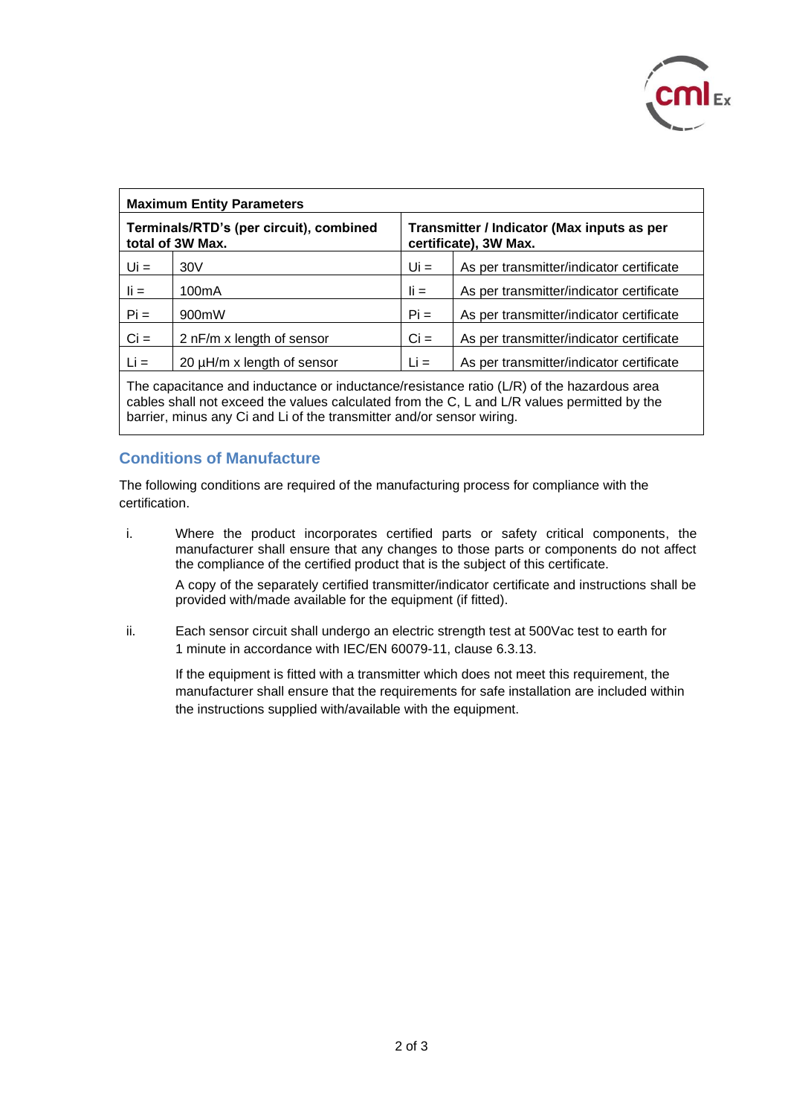

| <b>Maximum Entity Parameters</b>                            |                            |                                                                     |                                          |  |  |  |
|-------------------------------------------------------------|----------------------------|---------------------------------------------------------------------|------------------------------------------|--|--|--|
| Terminals/RTD's (per circuit), combined<br>total of 3W Max. |                            | Transmitter / Indicator (Max inputs as per<br>certificate), 3W Max. |                                          |  |  |  |
| $Ui =$                                                      | 30V                        | $Ui =$                                                              | As per transmitter/indicator certificate |  |  |  |
| $\mathbf{I}$ $\mathbf{I}$                                   | 100 <sub>m</sub> A         | $\mathbf{I}$ i =                                                    | As per transmitter/indicator certificate |  |  |  |
| $Pi =$                                                      | 900mW                      | $Pi =$                                                              | As per transmitter/indicator certificate |  |  |  |
| $Ci =$                                                      | 2 nF/m x length of sensor  | $Ci =$                                                              | As per transmitter/indicator certificate |  |  |  |
| $Li =$                                                      | 20 µH/m x length of sensor | $Li =$                                                              | As per transmitter/indicator certificate |  |  |  |

The capacitance and inductance or inductance/resistance ratio (L/R) of the hazardous area cables shall not exceed the values calculated from the C, L and L/R values permitted by the barrier, minus any Ci and Li of the transmitter and/or sensor wiring.

## **Conditions of Manufacture**

The following conditions are required of the manufacturing process for compliance with the certification.

i. Where the product incorporates certified parts or safety critical components, the manufacturer shall ensure that any changes to those parts or components do not affect the compliance of the certified product that is the subject of this certificate.

A copy of the separately certified transmitter/indicator certificate and instructions shall be provided with/made available for the equipment (if fitted).

ii. Each sensor circuit shall undergo an electric strength test at 500Vac test to earth for 1 minute in accordance with IEC/EN 60079-11, clause 6.3.13.

If the equipment is fitted with a transmitter which does not meet this requirement, the manufacturer shall ensure that the requirements for safe installation are included within the instructions supplied with/available with the equipment.